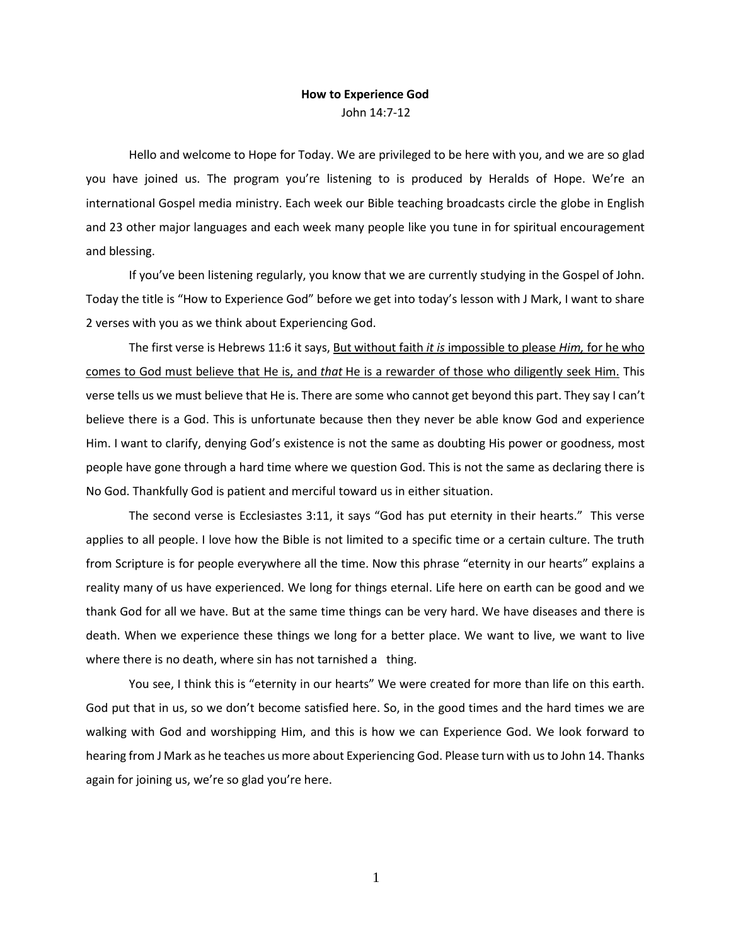## **How to Experience God** John 14:7-12

Hello and welcome to Hope for Today. We are privileged to be here with you, and we are so glad you have joined us. The program you're listening to is produced by Heralds of Hope. We're an international Gospel media ministry. Each week our Bible teaching broadcasts circle the globe in English and 23 other major languages and each week many people like you tune in for spiritual encouragement and blessing.

If you've been listening regularly, you know that we are currently studying in the Gospel of John. Today the title is "How to Experience God" before we get into today's lesson with J Mark, I want to share 2 verses with you as we think about Experiencing God.

The first verse is Hebrews 11:6 it says, But without faith *it is* impossible to please *Him,* for he who comes to God must believe that He is, and *that* He is a rewarder of those who diligently seek Him. This verse tells us we must believe that He is. There are some who cannot get beyond this part. They say I can't believe there is a God. This is unfortunate because then they never be able know God and experience Him. I want to clarify, denying God's existence is not the same as doubting His power or goodness, most people have gone through a hard time where we question God. This is not the same as declaring there is No God. Thankfully God is patient and merciful toward us in either situation.

The second verse is Ecclesiastes 3:11, it says "God has put eternity in their hearts." This verse applies to all people. I love how the Bible is not limited to a specific time or a certain culture. The truth from Scripture is for people everywhere all the time. Now this phrase "eternity in our hearts" explains a reality many of us have experienced. We long for things eternal. Life here on earth can be good and we thank God for all we have. But at the same time things can be very hard. We have diseases and there is death. When we experience these things we long for a better place. We want to live, we want to live where there is no death, where sin has not tarnished a thing.

You see, I think this is "eternity in our hearts" We were created for more than life on this earth. God put that in us, so we don't become satisfied here. So, in the good times and the hard times we are walking with God and worshipping Him, and this is how we can Experience God. We look forward to hearing from J Mark as he teaches us more about Experiencing God. Please turn with us to John 14. Thanks again for joining us, we're so glad you're here.

1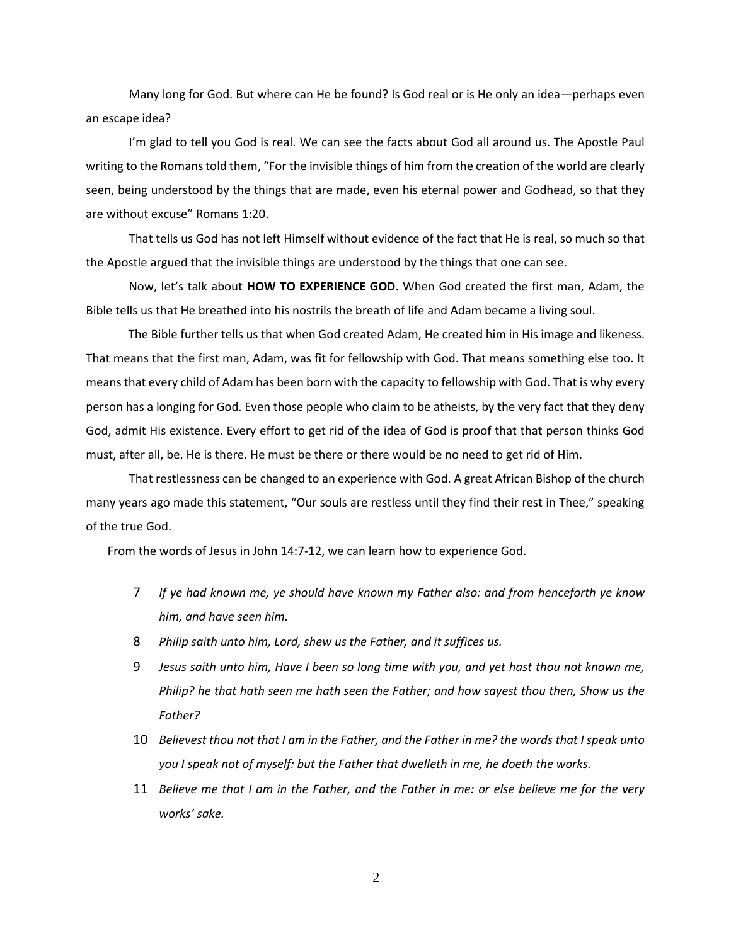Many long for God. But where can He be found? Is God real or is He only an idea—perhaps even an escape idea?

I'm glad to tell you God is real. We can see the facts about God all around us. The Apostle Paul writing to the Romans told them, "For the invisible things of him from the creation of the world are clearly seen, being understood by the things that are made, even his eternal power and Godhead, so that they are without excuse" Romans 1:20.

That tells us God has not left Himself without evidence of the fact that He is real, so much so that the Apostle argued that the invisible things are understood by the things that one can see.

Now, let's talk about **HOW TO EXPERIENCE GOD**. When God created the first man, Adam, the Bible tells us that He breathed into his nostrils the breath of life and Adam became a living soul.

 The Bible further tells us that when God created Adam, He created him in His image and likeness. That means that the first man, Adam, was fit for fellowship with God. That means something else too. It means that every child of Adam has been born with the capacity to fellowship with God. That is why every person has a longing for God. Even those people who claim to be atheists, by the very fact that they deny God, admit His existence. Every effort to get rid of the idea of God is proof that that person thinks God must, after all, be. He is there. He must be there or there would be no need to get rid of Him.

That restlessness can be changed to an experience with God. A great African Bishop of the church many years ago made this statement, "Our souls are restless until they find their rest in Thee," speaking of the true God.

From the words of Jesus in John 14:7-12, we can learn how to experience God.

- 7 *If ye had known me, ye should have known my Father also: and from henceforth ye know him, and have seen him.*
- 8 *Philip saith unto him, Lord, shew us the Father, and it suffices us.*
- 9 *Jesus saith unto him, Have I been so long time with you, and yet hast thou not known me, Philip? he that hath seen me hath seen the Father; and how sayest thou then, Show us the Father?*
- 10 *Believest thou not that I am in the Father, and the Father in me? the words that I speak unto you I speak not of myself: but the Father that dwelleth in me, he doeth the works.*
- 11 *Believe me that I am in the Father, and the Father in me: or else believe me for the very works' sake.*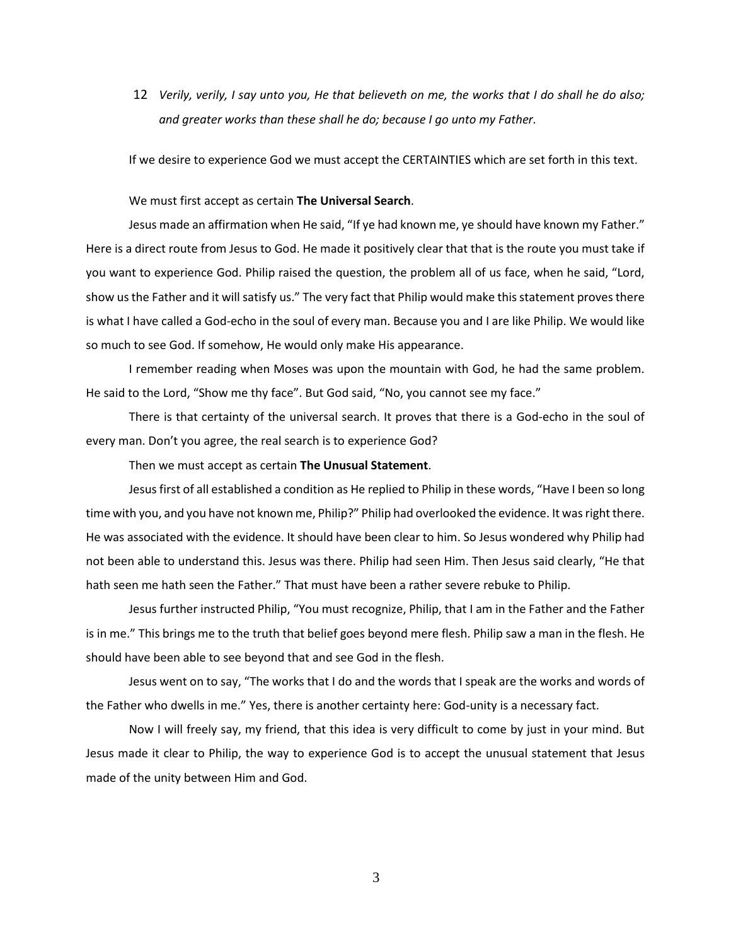12 *Verily, verily, I say unto you, He that believeth on me, the works that I do shall he do also; and greater works than these shall he do; because I go unto my Father.*

If we desire to experience God we must accept the CERTAINTIES which are set forth in this text.

We must first accept as certain **The Universal Search**.

Jesus made an affirmation when He said, "If ye had known me, ye should have known my Father." Here is a direct route from Jesus to God. He made it positively clear that that is the route you must take if you want to experience God. Philip raised the question, the problem all of us face, when he said, "Lord, show us the Father and it will satisfy us." The very fact that Philip would make this statement proves there is what I have called a God-echo in the soul of every man. Because you and I are like Philip. We would like so much to see God. If somehow, He would only make His appearance.

I remember reading when Moses was upon the mountain with God, he had the same problem. He said to the Lord, "Show me thy face". But God said, "No, you cannot see my face."

There is that certainty of the universal search. It proves that there is a God-echo in the soul of every man. Don't you agree, the real search is to experience God?

Then we must accept as certain **The Unusual Statement**.

Jesus first of all established a condition as He replied to Philip in these words, "Have I been so long time with you, and you have not known me, Philip?" Philip had overlooked the evidence. It was right there. He was associated with the evidence. It should have been clear to him. So Jesus wondered why Philip had not been able to understand this. Jesus was there. Philip had seen Him. Then Jesus said clearly, "He that hath seen me hath seen the Father." That must have been a rather severe rebuke to Philip.

Jesus further instructed Philip, "You must recognize, Philip, that I am in the Father and the Father is in me." This brings me to the truth that belief goes beyond mere flesh. Philip saw a man in the flesh. He should have been able to see beyond that and see God in the flesh.

Jesus went on to say, "The works that I do and the words that I speak are the works and words of the Father who dwells in me." Yes, there is another certainty here: God-unity is a necessary fact.

Now I will freely say, my friend, that this idea is very difficult to come by just in your mind. But Jesus made it clear to Philip, the way to experience God is to accept the unusual statement that Jesus made of the unity between Him and God.

3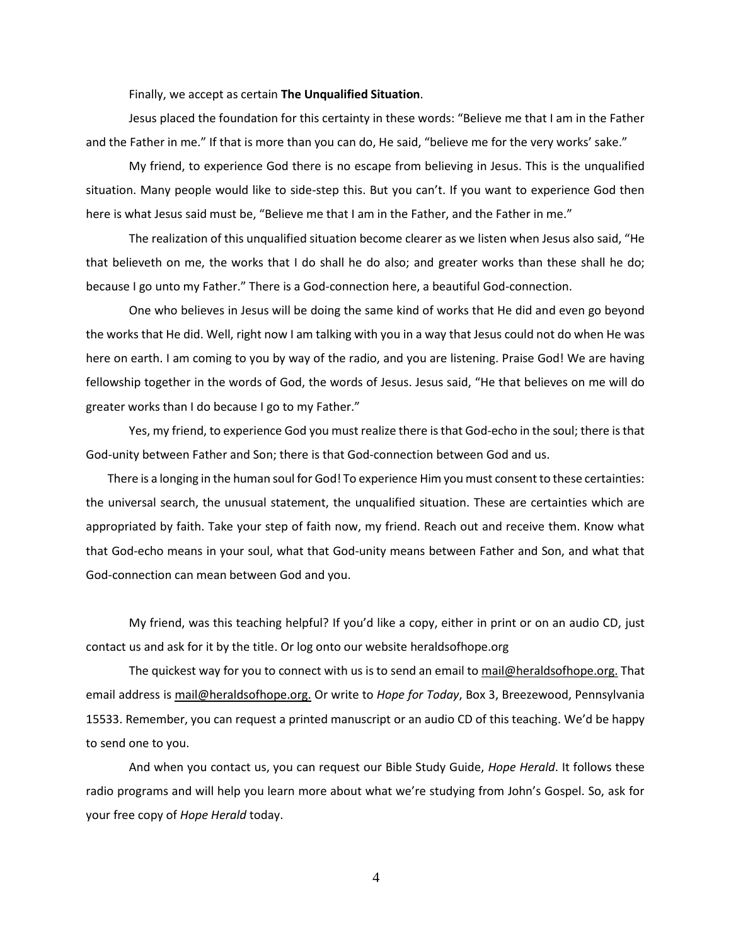Finally, we accept as certain **The Unqualified Situation**.

Jesus placed the foundation for this certainty in these words: "Believe me that I am in the Father and the Father in me." If that is more than you can do, He said, "believe me for the very works' sake."

My friend, to experience God there is no escape from believing in Jesus. This is the unqualified situation. Many people would like to side-step this. But you can't. If you want to experience God then here is what Jesus said must be, "Believe me that I am in the Father, and the Father in me."

The realization of this unqualified situation become clearer as we listen when Jesus also said, "He that believeth on me, the works that I do shall he do also; and greater works than these shall he do; because I go unto my Father." There is a God-connection here, a beautiful God-connection.

One who believes in Jesus will be doing the same kind of works that He did and even go beyond the works that He did. Well, right now I am talking with you in a way that Jesus could not do when He was here on earth. I am coming to you by way of the radio, and you are listening. Praise God! We are having fellowship together in the words of God, the words of Jesus. Jesus said, "He that believes on me will do greater works than I do because I go to my Father."

Yes, my friend, to experience God you must realize there is that God-echo in the soul; there is that God-unity between Father and Son; there is that God-connection between God and us.

There is a longing in the human soul for God! To experience Him you must consent to these certainties: the universal search, the unusual statement, the unqualified situation. These are certainties which are appropriated by faith. Take your step of faith now, my friend. Reach out and receive them. Know what that God-echo means in your soul, what that God-unity means between Father and Son, and what that God-connection can mean between God and you.

My friend, was this teaching helpful? If you'd like a copy, either in print or on an audio CD, just contact us and ask for it by the title. Or log onto our website heraldsofhope.org

The quickest way for you to connect with us is to send an email to [mail@heraldsofhope.org.](mailto:mail@heraldsofhope.org) That email address is [mail@heraldsofhope.org.](mailto:mail@heraldsofhope.org) Or write to *Hope for Today*, Box 3, Breezewood, Pennsylvania 15533. Remember, you can request a printed manuscript or an audio CD of this teaching. We'd be happy to send one to you.

And when you contact us, you can request our Bible Study Guide, *Hope Herald*. It follows these radio programs and will help you learn more about what we're studying from John's Gospel. So, ask for your free copy of *Hope Herald* today.

4